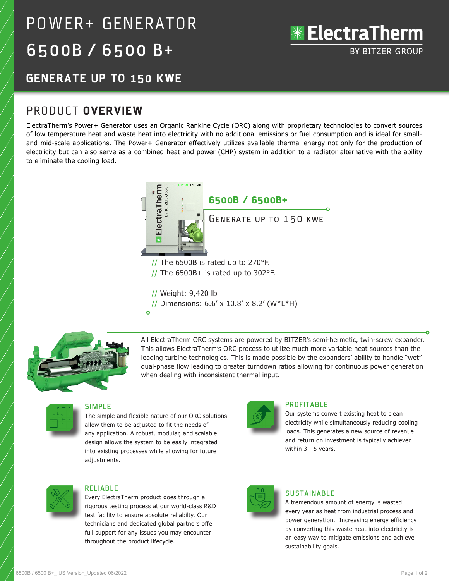# POWER+ GENERATOR 6500B / 6500 B+



# **GENERATE UP TO 150 KWE**

# PRODUCT **OVERVIEW**

ElectraTherm's Power+ Generator uses an Organic Rankine Cycle (ORC) along with proprietary technologies to convert sources of low temperature heat and waste heat into electricity with no additional emissions or fuel consumption and is ideal for smalland mid-scale applications. The Power+ Generator effectively utilizes available thermal energy not only for the production of electricity but can also serve as a combined heat and power (CHP) system in addition to a radiator alternative with the ability to eliminate the cooling load.



// Dimensions: 6.6' x 10.8' x 8.2' (W\*L\*H)



All ElectraTherm ORC systems are powered by BITZER's semi-hermetic, twin-screw expander. This allows ElectraTherm's ORC process to utilize much more variable heat sources than the leading turbine technologies. This is made possible by the expanders' ability to handle "wet" dual-phase flow leading to greater turndown ratios allowing for continuous power generation when dealing with inconsistent thermal input.



#### **SIMPLE**

The simple and flexible nature of our ORC solutions allow them to be adjusted to fit the needs of any application. A robust, modular, and scalable design allows the system to be easily integrated into existing processes while allowing for future adjustments.



#### **PROFITABLE**

Our systems convert existing heat to clean electricity while simultaneously reducing cooling loads. This generates a new source of revenue and return on investment is typically achieved within 3 - 5 years.



### **RELIABLE**

Every ElectraTherm product goes through a rigorous testing process at our world-class R&D test facility to ensure absolute reliabilty. Our technicians and dedicated global partners offer full support for any issues you may encounter throughout the product lifecycle.



## **SUSTAINABLE**

A tremendous amount of energy is wasted every year as heat from industrial process and power generation. Increasing energy efficiency by converting this waste heat into electricity is an easy way to mitigate emissions and achieve sustainability goals.